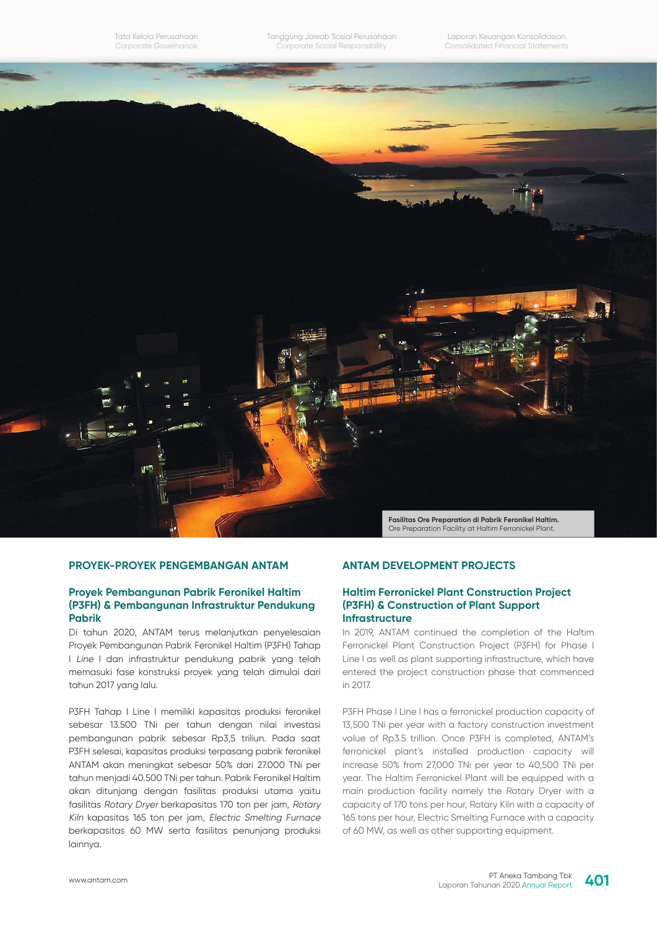Tata Kelola Perusahaan Corporate Governance

Laporan Keuangan Konsolidasian Consolidated Financial Statements



# **PROYEK-PROYEK PENGEMBANGAN ANTAM**

#### **Proyek Pembangunan Pabrik Feronikel Haltim (P3FH) & Pembangunan Infrastruktur Pendukung Pabrik**

Di tahun 2020, ANTAM terus melanjutkan penyelesaian Proyek Pembangunan Pabrik Feronikel Haltim (P3FH) Tahap I Line I dan infrastruktur pendukung pabrik yang telah memasuki fase konstruksi proyek yang telah dimulai dari tahun 2017 yang lalu.

P3FH Tahap I Line I memiliki kapasitas produksi feronikel sebesar 13.500 TNi per tahun dengan nilai investasi pembangunan pabrik sebesar Rp3,5 triliun. Pada saat P3FH selesai, kapasitas produksi terpasang pabrik feronikel ANTAM akan meningkat sebesar 50% dari 27.000 TNi per tahun menjadi 40.500 TNi per tahun. Pabrik Feronikel Haltim akan ditunjang dengan fasilitas produksi utama yaitu fasilitas Rotary Dryer berkapasitas 170 ton per jam, Rotary Kiln kapasitas 165 ton per jam, Electric Smelting Furnace berkapasitas 60 MW serta fasilitas penunjang produksi lainnya.

# **ANTAM DEVELOPMENT PROJECTS**

#### **Haltim Ferronickel Plant Construction Project (P3FH) & Construction of Plant Support Infrastructure**

In 2019, ANTAM continued the completion of the Haltim Ferronickel Plant Construction Project (P3FH) for Phase I Line I as well as plant supporting infrastructure, which have entered the project construction phase that commenced in 2017.

P3FH Phase I Line I has a ferronickel production capacity of 13,500 TNi per year with a factory construction investment value of Rp3.5 trillion. Once P3FH is completed, ANTAM's ferronickel plant's installed production capacity will increase 50% from 27,000 TNi per year to 40,500 TNi per year. The Haltim Ferronickel Plant will be equipped with a main production facility namely the Rotary Dryer with a capacity of 170 tons per hour, Rotary Kiln with a capacity of 165 tons per hour, Electric Smelting Furnace with a capacity of 60 MW, as well as other supporting equipment.

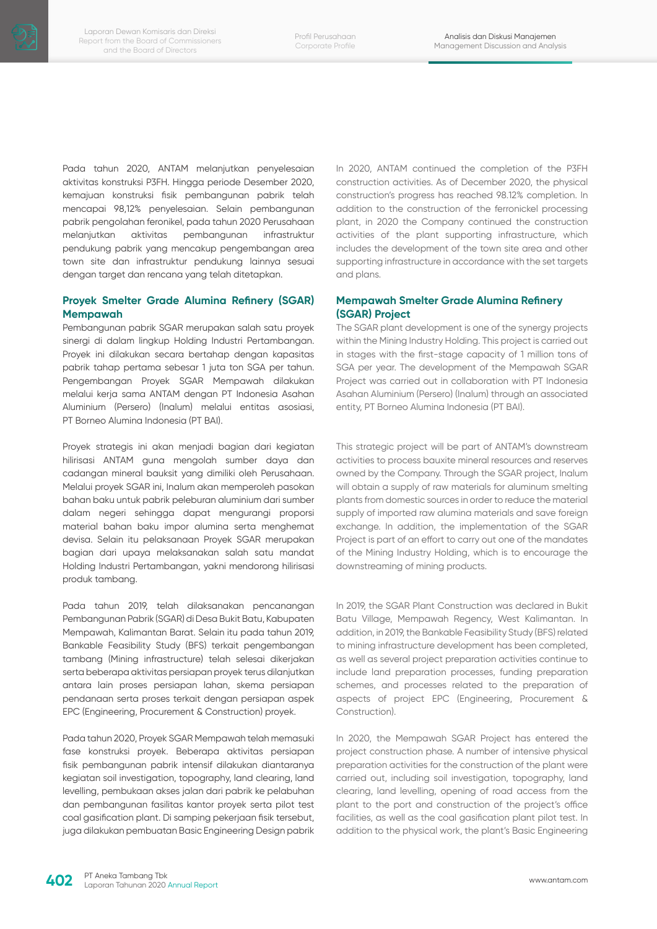Pada tahun 2020, ANTAM melanjutkan penyelesaian aktivitas konstruksi P3FH. Hingga periode Desember 2020, kemajuan konstruksi fisik pembangunan pabrik telah mencapai 98,12% penyelesaian. Selain pembangunan pabrik pengolahan feronikel, pada tahun 2020 Perusahaan melanjutkan aktivitas pembangunan infrastruktur pendukung pabrik yang mencakup pengembangan area town site dan infrastruktur pendukung lainnya sesuai dengan target dan rencana yang telah ditetapkan.

# **Proyek Smelter Grade Alumina Refinery (SGAR) Mempawah**

Pembangunan pabrik SGAR merupakan salah satu proyek sinergi di dalam lingkup Holding Industri Pertambangan. Proyek ini dilakukan secara bertahap dengan kapasitas pabrik tahap pertama sebesar 1 juta ton SGA per tahun. Pengembangan Proyek SGAR Mempawah dilakukan melalui kerja sama ANTAM dengan PT Indonesia Asahan Aluminium (Persero) (Inalum) melalui entitas asosiasi, PT Borneo Alumina Indonesia (PT BAI).

Proyek strategis ini akan menjadi bagian dari kegiatan hilirisasi ANTAM guna mengolah sumber daya dan cadangan mineral bauksit yang dimiliki oleh Perusahaan. Melalui proyek SGAR ini, Inalum akan memperoleh pasokan bahan baku untuk pabrik peleburan aluminium dari sumber dalam negeri sehingga dapat mengurangi proporsi material bahan baku impor alumina serta menghemat devisa. Selain itu pelaksanaan Proyek SGAR merupakan bagian dari upaya melaksanakan salah satu mandat Holding Industri Pertambangan, yakni mendorong hilirisasi produk tambang.

Pada tahun 2019, telah dilaksanakan pencanangan Pembangunan Pabrik (SGAR) di Desa Bukit Batu, Kabupaten Mempawah, Kalimantan Barat. Selain itu pada tahun 2019, Bankable Feasibility Study (BFS) terkait pengembangan tambang (Mining infrastructure) telah selesai dikerjakan serta beberapa aktivitas persiapan proyek terus dilanjutkan antara lain proses persiapan lahan, skema persiapan pendanaan serta proses terkait dengan persiapan aspek EPC (Engineering, Procurement & Construction) proyek.

Pada tahun 2020, Proyek SGAR Mempawah telah memasuki fase konstruksi proyek. Beberapa aktivitas persiapan fisik pembangunan pabrik intensif dilakukan diantaranya kegiatan soil investigation, topography, land clearing, land levelling, pembukaan akses jalan dari pabrik ke pelabuhan dan pembangunan fasilitas kantor proyek serta pilot test coal gasification plant. Di samping pekerjaan fisik tersebut, juga dilakukan pembuatan Basic Engineering Design pabrik

In 2020, ANTAM continued the completion of the P3FH construction activities. As of December 2020, the physical construction's progress has reached 98.12% completion. In addition to the construction of the ferronickel processing plant, in 2020 the Company continued the construction activities of the plant supporting infrastructure, which includes the development of the town site area and other supporting infrastructure in accordance with the set targets and plans.

## **Mempawah Smelter Grade Alumina Refinery (SGAR) Project**

The SGAR plant development is one of the synergy projects within the Mining Industry Holding. This project is carried out in stages with the first-stage capacity of 1 million tons of SGA per year. The development of the Mempawah SGAR Project was carried out in collaboration with PT Indonesia Asahan Aluminium (Persero) (Inalum) through an associated entity, PT Borneo Alumina Indonesia (PT BAI).

This strategic project will be part of ANTAM's downstream activities to process bauxite mineral resources and reserves owned by the Company. Through the SGAR project, Inalum will obtain a supply of raw materials for aluminum smelting plants from domestic sources in order to reduce the material supply of imported raw alumina materials and save foreign exchange. In addition, the implementation of the SGAR Project is part of an effort to carry out one of the mandates of the Mining Industry Holding, which is to encourage the downstreaming of mining products.

In 2019, the SGAR Plant Construction was declared in Bukit Batu Village, Mempawah Regency, West Kalimantan. In addition, in 2019, the Bankable Feasibility Study (BFS) related to mining infrastructure development has been completed, as well as several project preparation activities continue to include land preparation processes, funding preparation schemes, and processes related to the preparation of aspects of project EPC (Engineering, Procurement & Construction).

In 2020, the Mempawah SGAR Project has entered the project construction phase. A number of intensive physical preparation activities for the construction of the plant were carried out, including soil investigation, topography, land clearing, land levelling, opening of road access from the plant to the port and construction of the project's office facilities, as well as the coal gasification plant pilot test. In addition to the physical work, the plant's Basic Engineering